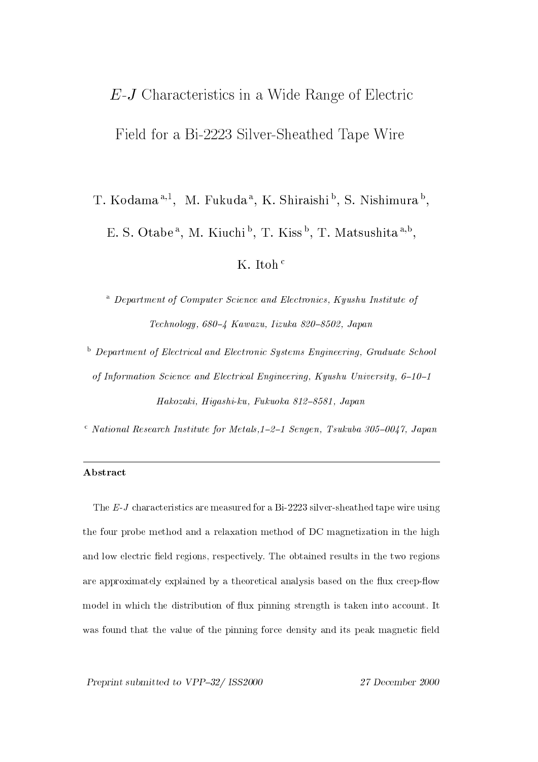# $E-J$  Characteristics in a Wide Range of Electric Field for a Bi-2223 Silver-Sheathed Tape Wire

T. Kodama<sup>a,1</sup>, M. Fukuda<sup>a</sup>, K. Shiraishi<sup>b</sup>, S. Nishimura<sup>b</sup>, E. S. Otabe<sup>a</sup>, M. Kiuchi<sup>b</sup>, T. Kiss<sup>b</sup>, T. Matsushita<sup>a,b</sup>,

K. Itoh  $\frac{c}{c}$ 

<sup>a</sup> Department of Computer Science and Electronics. Kyushu Institute of Technology, 680-4 Kawazu, Iizuka 820-8502, Japan

<sup>b</sup> Department of Electrical and Electronic Systems Engineering, Graduate School of Information Science and Electrical Engineering, Kyushu University, 6-10-1 Hakozaki, Hiqashi-ku, Fukuoka 812-8581, Japan

 $\sim$  National Research Institute for Metals, 1-2-1 Sengen, Tsukuba 305-0047, Japan

## Abstract

The  $E$ -J characteristics are measured for a Bi-2223 silver-sheathed tape wire using the four probe method and a relaxation method of DC magnetization in the high and low electric field regions, respectively. The obtained results in the two regions are approximately explained by a theoretical analysis based on the flux creep-flow model in which the distribution of flux pinning strength is taken into account. It was found that the value of the pinning force density and its peak magnetic field

Preprint submitted to VPP-32/ ISS2000

27 December 2000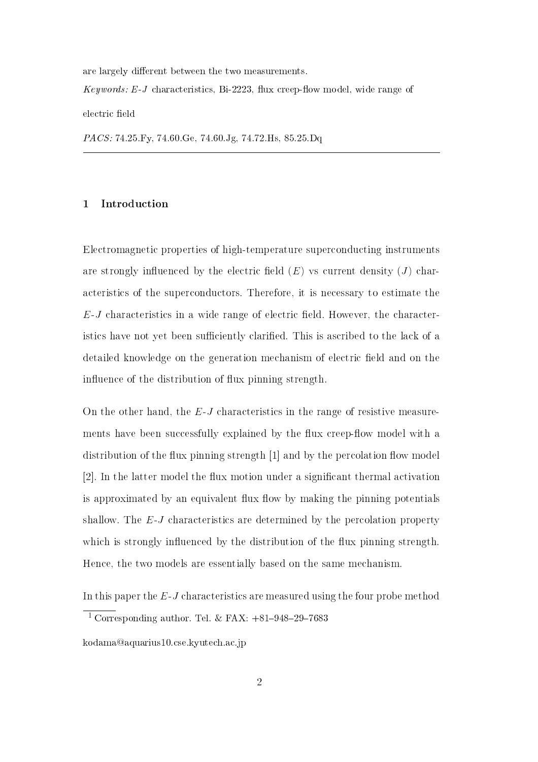are largely different between the two measurements.

*Keywords: E-J* characteristics, Bi-2223, flux creep-flow model, wide range of

electric field

*PACS:* 74.25 Fy, 74.60 Ge, 74.60 Jg, 74.72 Hs, 85.25 Dq

### Introduction  $\mathbf{1}$

Electromagnetic properties of high-temperature superconducting instruments are strongly influenced by the electric field  $(E)$  vs current density  $(J)$  characteristics of the superconductors. Therefore, it is necessary to estimate the  $E$ -J characteristics in a wide range of electric field. However, the characteristics have not yet been sufficiently clarified. This is ascribed to the lack of a detailed knowledge on the generation mechanism of electric field and on the influence of the distribution of flux pinning strength.

On the other hand, the  $E$ -J characteristics in the range of resistive measurements have been successfully explained by the flux creep-flow model with a distribution of the flux pinning strength [1] and by the percolation flow model [2]. In the latter model the flux motion under a significant thermal activation is approximated by an equivalent flux flow by making the pinning potentials shallow. The  $E$ -J characteristics are determined by the percolation property which is strongly influenced by the distribution of the flux pinning strength. Hence, the two models are essentially based on the same mechanism.

In this paper the  $E$ -  $J$  characteristics are measured using the four probe method

<sup>&</sup>lt;sup>1</sup> Corresponding author. Tel. & FAX:  $+81-948-29-7683$ 

kodama@aquarius10.cse.kyutech.ac.jp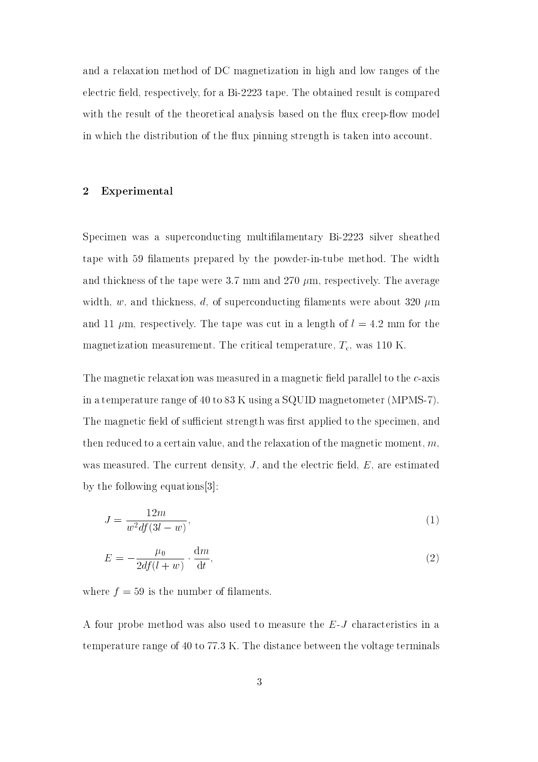and a relaxation method of DC magnetization in high and low ranges of the electric field, respectively, for a Bi-2223 tape. The obtained result is compared with the result of the theoretical analysis based on the flux creep-flow model in which the distribution of the flux pinning strength is taken into account.

#### $\overline{2}$ Experimental

Specimen was a superconducting multifilamentary Bi-2223 silver sheathed tape with 59 filaments prepared by the powder-in-tube method. The width and thickness of the tape were 3.7 mm and 270  $\mu$ m, respectively. The average width, w, and thickness, d, of superconducting filaments were about 320  $\mu$ m and 11  $\mu$ m, respectively. The tape was cut in a length of  $l = 4.2$  mm for the magnetization measurement. The critical temperature,  $T_c$ , was 110 K

The magnetic relaxation was measured in a magnetic field parallel to the c-axis in a temperature range of 40 to 83 K using a SQUID magnetometer (MPMS-7). The magnetic field of sufficient strength was first applied to the specimen, and then reduced to a certain value, and the relaxation of the magnetic moment,  $m$ , was measured. The current density,  $J$ , and the electric field,  $E$ , are estimated by the following equations  $[3]$ :

$$
J = \frac{12m}{w^2 df (3l - w)},\tag{1}
$$

$$
E = -\frac{\mu_0}{2df(l+w)} \cdot \frac{dm}{dt},\qquad(2)
$$

where  $f = 59$  is the number of filaments.

A four probe method was also used to measure the E-J characteristics in a temperature range of 40 to 77.3 K. The distance between the voltage terminals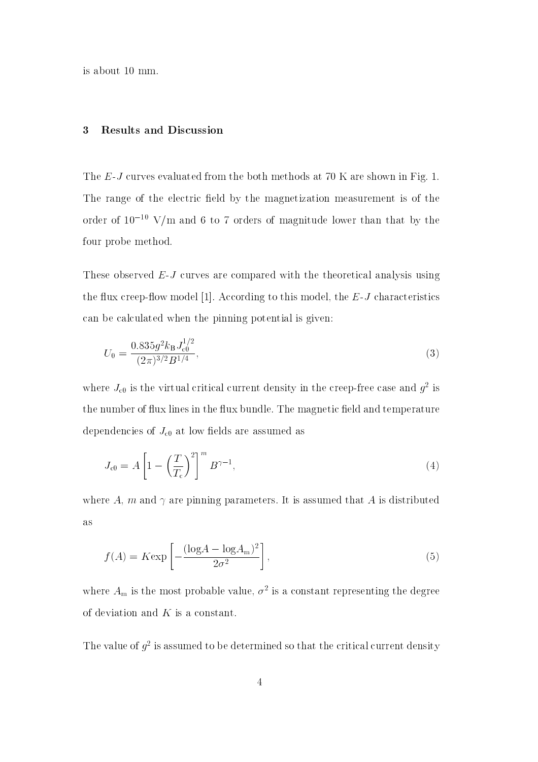is about 10 mm.

#### **Results and Discussion** 3

The  $E$ -J curves evaluated from the both methods at 70 K are shown in Fig. 1. The range of the electric field by the magnetization measurement is of the order of  $10^{-10}$  V/m and 6 to 7 orders of magnitude lower than that by the four probe method.

These observed  $E-J$  curves are compared with the theoretical analysis using the flux creep-flow model [1]. According to this model, the  $E$ -J characteristics can be calculated when the pinning potential is given:

$$
U_0 = \frac{0.835g^2k_B J_{c0}^{1/2}}{(2\pi)^{3/2}B^{1/4}},\tag{3}
$$

where  $J_{c0}$  is the virtual critical current density in the creep-free case and  $g^2$  is the number of flux lines in the flux bundle. The magnetic field and temperature dependencies of  $J_{c0}$  at low fields are assumed as

$$
J_{c0} = A \left[ 1 - \left(\frac{T}{T_c}\right)^2 \right]^m B^{\gamma - 1},\tag{4}
$$

where A, m and  $\gamma$  are pinning parameters. It is assumed that A is distributed **as** 

$$
f(A) = K \exp\left[-\frac{(\log A - \log A_{\rm m})^2}{2\sigma^2}\right],\tag{5}
$$

where  $A_m$  is the most probable value,  $\sigma^2$  is a constant representing the degree of deviation and  $K$  is a constant.

The value of  $q^2$  is assumed to be determined so that the critical current density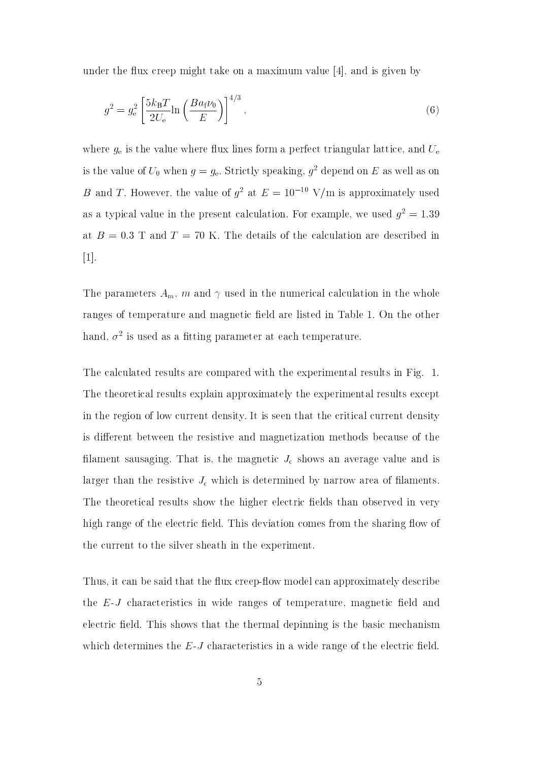under the flux creep might take on a maximum value  $[4]$ , and is given by

$$
g^2 = g_e^2 \left[ \frac{5k_B T}{2U_e} \ln \left( \frac{Ba_f \nu_0}{E} \right) \right]^{4/3},\tag{6}
$$

where  $g_e$  is the value where flux lines form a perfect triangular lattice, and  $U_e$ is the value of  $U_0$  when  $g = g_e$ . Strictly speaking,  $g^2$  depend on E as well as on B and T. However, the value of  $g^2$  at  $E = 10^{-10}$  V/m is approximately used as a typical value in the present calculation. For example, we used  $g^2 = 1.39$ at  $B = 0.3$  T and T = 70 K. The details of the calculation are described in  $\lfloor 1 \rfloor$ .

The parameters  $A_m$ , m and  $\gamma$  used in the numerical calculation in the whole ranges of temperature and magnetic field are listed in Table 1. On the other hand,  $\sigma^2$  is used as a fitting parameter at each temperature.

The calculated results are compared with the experimental results in Fig. 1. The theoretical results explain approximately the experimental results except in the region of low current density. It is seen that the critical current density is different between the resistive and magnetization methods because of the filament sausaging. That is, the magnetic  $J_c$  shows an average value and is larger than the resistive  $J_c$  which is determined by narrow area of filaments. The theoretical results show the higher electric fields than observed in very high range of the electric field. This deviation comes from the sharing flow of the current to the silver sheath in the experiment.

Thus, it can be said that the flux creep-flow model can approximately describe the  $E-J$  characteristics in wide ranges of temperature, magnetic field and electric field. This shows that the thermal depinning is the basic mechanism which determines the  $E$ -J characteristics in a wide range of the electric field.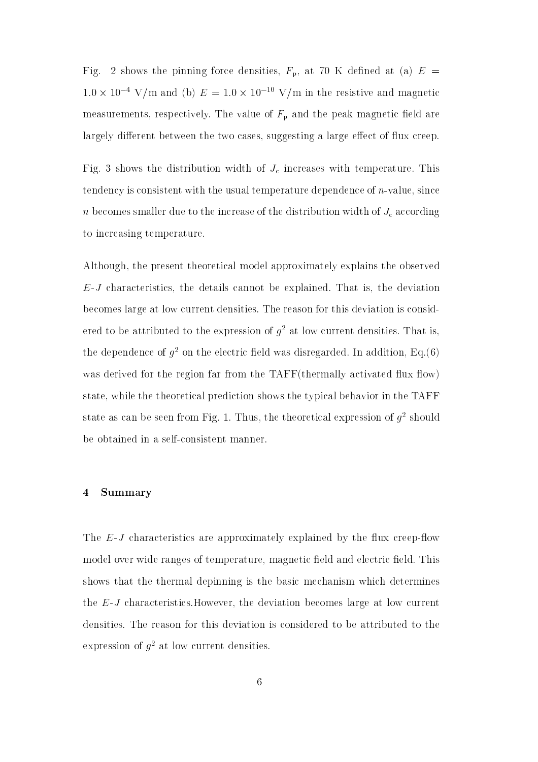Fig. 2 shows the pinning force densities,  $F_{\rm p}$ , at 70 K defined at (a)  $E =$  $1.0 \times 10^{-4}$  V/m and (b)  $E = 1.0 \times 10^{-10}$  V/m in the resistive and magnetic measurements, respectively. The value of  $F_{\rm p}$  and the peak magnetic field are largely different between the two cases, suggesting a large effect of flux creep.

Fig. 3 shows the distribution width of  $J_c$  increases with temperature. This tendency is consistent with the usual temperature dependence of  $n$ -value, since  $n$  becomes smaller due to the increase of the distribution width of  $J_c$  according to increasing temperature.

Although, the present theoretical model approximately explains the observed  $E$ -*J* characteristics, the details cannot be explained. That is, the deviation becomes large at low current densities. The reason for this deviation is considered to be attributed to the expression of  $q^2$  at low current densities. That is, the dependence of  $q^2$  on the electric field was disregarded. In addition, Eq.(6) was derived for the region far from the TAFF(thermally activated flux flow) state, while the theoretical prediction shows the typical behavior in the TAFF state as can be seen from Fig. 1. Thus, the theoretical expression of  $g^2$  should be obtained in a self-consistent manner.

#### Summary  $\overline{\mathbf{4}}$

The  $E$ -J characteristics are approximately explained by the flux creep-flow model over wide ranges of temperature, magnetic field and electric field. This shows that the thermal depinning is the basic mechanism which determines the  $E$ -J characteristics. However, the deviation becomes large at low current densities. The reason for this deviation is considered to be attributed to the expression of  $g^2$  at low current densities.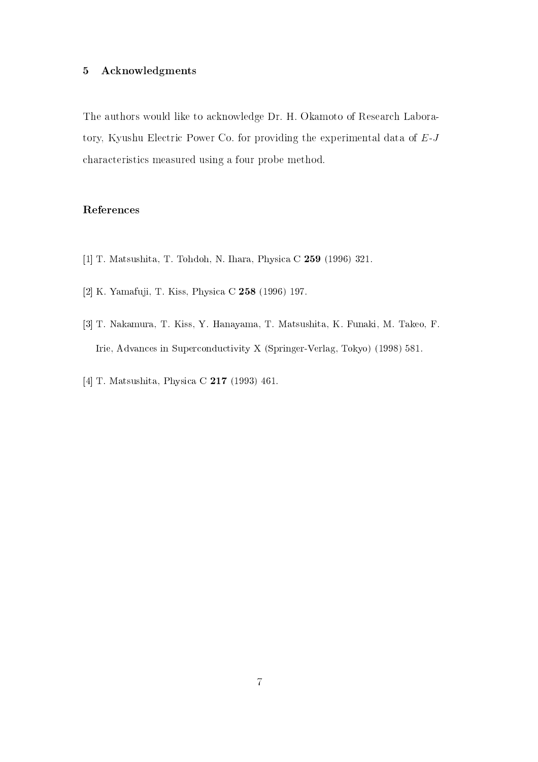#### $\bf 5$ Acknowledgments

The authors would like to acknowledge Dr. H. Okamoto of Research Laboratory, Kyushu Electric Power Co. for providing the experimental data of  $E-J$ characteristics measured using a four probe method.

## References

- [1] T. Matsushita, T. Tohdoh, N. Ihara, Physica C 259 (1996) 321.
- [2] K. Yamafuji, T. Kiss, Physica C 258 (1996) 197.
- [3] T. Nakamura, T. Kiss, Y. Hanayama, T. Matsushita, K. Funaki, M. Takeo, F. Irie, Advances in Superconductivity X (Springer-Verlag, Tokyo) (1998) 581.
- [4] T. Matsushita, Physica C 217 (1993) 461.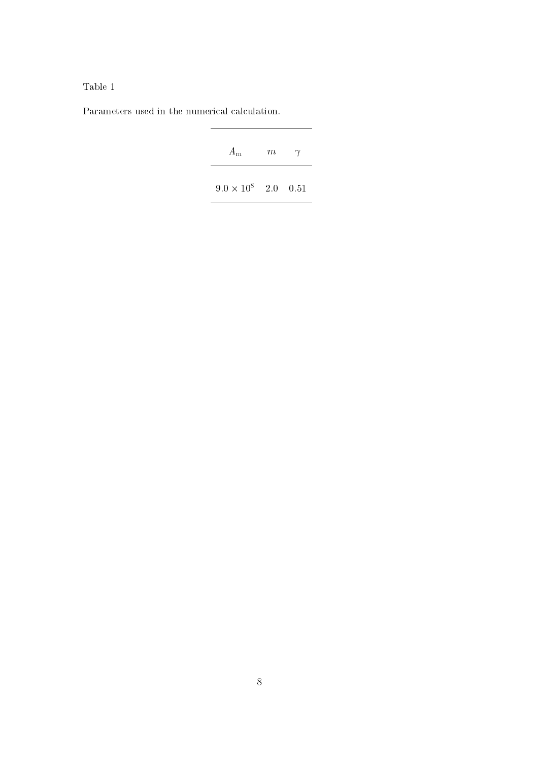Table  $1$ 

 $\operatorname{Parameters}$  used in the numerical calculation.

| $A_{\rm m}$                | m | ʻΥ |
|----------------------------|---|----|
| $9.0 \times 10^8$ 2.0 0.51 |   |    |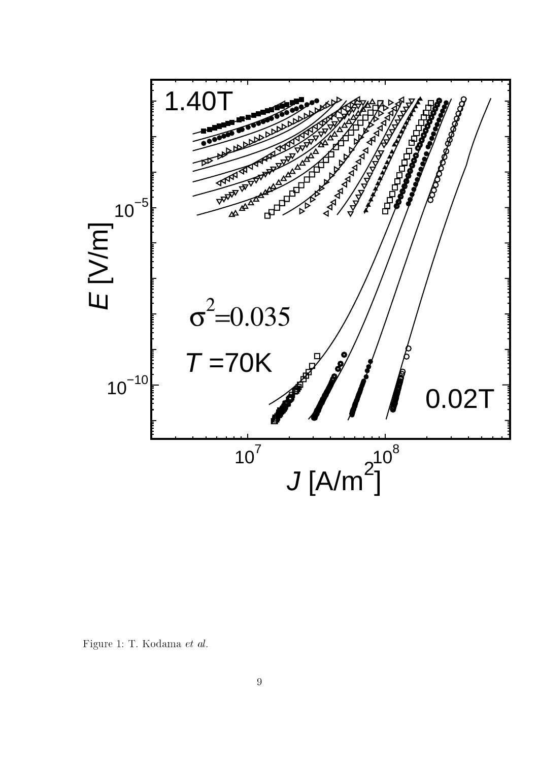

Figure 1: T. Kodama et al.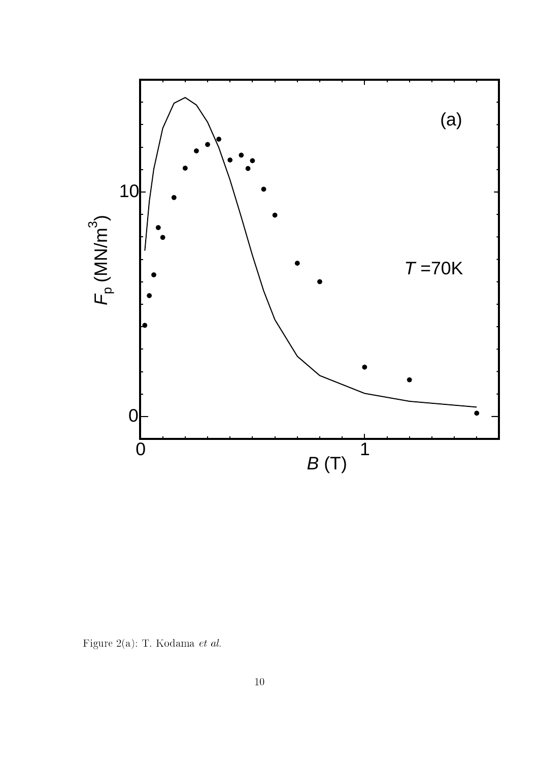

Figure 2(a): T. Kodama $\it{et~al.}$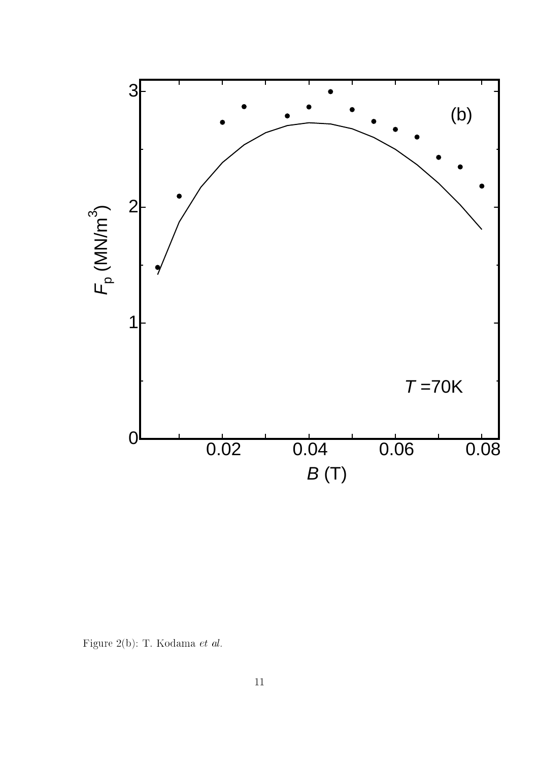

Figure 2(b): T. Kodama  ${\it et\ al.}$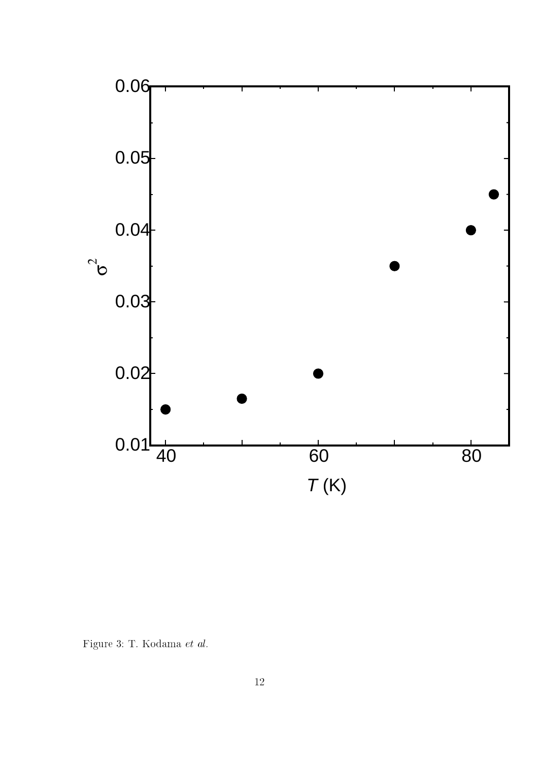

Figure 3: T. Kodama $et~al.$